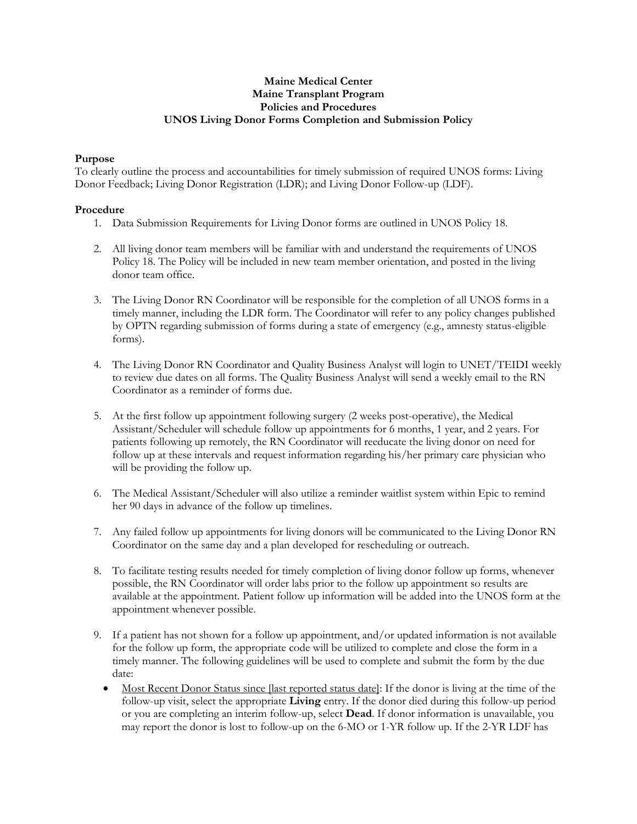## **Maine Medical Center Maine Transplant Program Policies and Procedures UNOS Living Donor Forms Completion and Submission Policy**

## **Purpose**

To clearly outline the process and accountabilities for timely submission of required UNOS forms: Living Donor Feedback; Living Donor Registration (LDR); and Living Donor Follow-up (LDF).

## **Procedure**

- 1. Data Submission Requirements for Living Donor forms are outlined in UNOS Policy 18.
- 2. All living donor team members will be familiar with and understand the requirements of UNOS Policy 18. The Policy will be included in new team member orientation, and posted in the living donor team office.
- 3. The Living Donor RN Coordinator will be responsible for the completion of all UNOS forms in a timely manner, including the LDR form. The Coordinator will refer to any policy changes published by OPTN regarding submission of forms during a state of emergency (e.g., amnesty status-eligible forms).
- 4. The Living Donor RN Coordinator and Quality Business Analyst will login to UNET/TEIDI weekly to review due dates on all forms. The Quality Business Analyst will send a weekly email to the RN Coordinator as a reminder of forms due.
- 5. At the first follow up appointment following surgery (2 weeks post-operative), the Medical Assistant/Scheduler will schedule follow up appointments for 6 months, 1 year, and 2 years. For patients following up remotely, the RN Coordinator will reeducate the living donor on need for follow up at these intervals and request information regarding his/her primary care physician who will be providing the follow up.
- 6. The Medical Assistant/Scheduler will also utilize a reminder waitlist system within Epic to remind her 90 days in advance of the follow up timelines.
- 7. Any failed follow up appointments for living donors will be communicated to the Living Donor RN Coordinator on the same day and a plan developed for rescheduling or outreach.
- 8. To facilitate testing results needed for timely completion of living donor follow up forms, whenever possible, the RN Coordinator will order labs prior to the follow up appointment so results are available at the appointment. Patient follow up information will be added into the UNOS form at the appointment whenever possible.
- 9. If a patient has not shown for a follow up appointment, and/or updated information is not available for the follow up form, the appropriate code will be utilized to complete and close the form in a timely manner. The following guidelines will be used to complete and submit the form by the due date:
	- Most Recent Donor Status since [last reported status date]: If the donor is living at the time of the follow-up visit, select the appropriate **Living** entry. If the donor died during this follow-up period or you are completing an interim follow-up, select **Dead**. If donor information is unavailable, you may report the donor is lost to follow-up on the 6-MO or 1-YR follow up. If the 2-YR LDF has